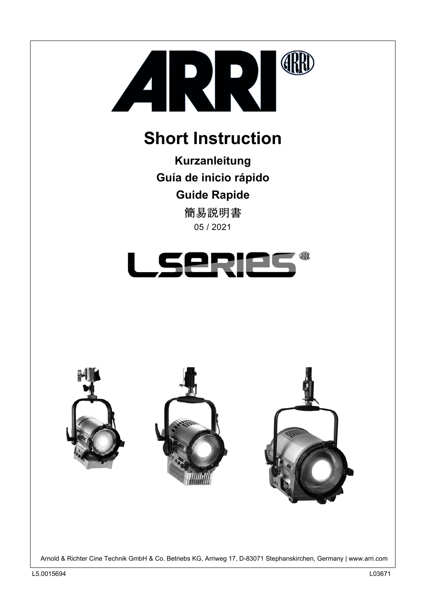

# **Short Instruction**

**Kurzanleitung Guía de inicio rápido Guide Rapide** 05 / 2021 簡易説明書





Arnold & Richter Cine Technik GmbH & Co. Betriebs KG, Arriweg 17, D-83071 Stephanskirchen, Germany | www.arri.com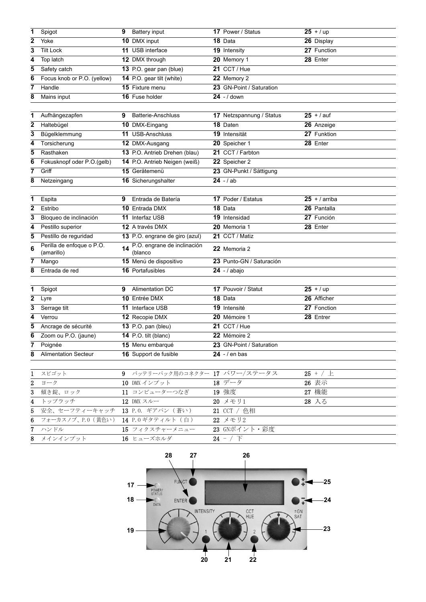| 1                       | Spigot                      | 9 Battery input                | 17 Power / Status        | $25 + / up$     |
|-------------------------|-----------------------------|--------------------------------|--------------------------|-----------------|
| $\overline{2}$          | Yoke                        | 10 DMX input                   | 18 Data                  | 26 Display      |
| 3                       | <b>Tilt Lock</b>            | 11 USB interface               | 19 Intensity             | 27 Function     |
| 4                       | Top latch                   | 12 DMX through                 | 20 Memory 1              | 28 Enter        |
| 5                       | Safety catch                | 13 P.O. gear pan (blue)        | 21 CCT/Hue               |                 |
| 6                       | Focus knob or P.O. (yellow) | 14 P.O. gear tilt (white)      | 22 Memory 2              |                 |
| 7                       | Handle                      | 15 Fixture menu                | 23 GN-Point / Saturation |                 |
| 8                       | Mains input                 | 16 Fuse holder                 | $24 - 1$ down            |                 |
|                         |                             |                                |                          |                 |
| 1                       | Aufhängezapfen              | 9<br><b>Batterie-Anschluss</b> | 17 Netzspannung / Status | $25 + 7$ auf    |
| $\mathbf 2$             | Haltebügel                  | 10 DMX-Eingang                 | 18 Daten                 | 26 Anzeige      |
| 3                       | Bügelklemmung               | 11 USB-Anschluss               | 19 Intensität            | 27 Funktion     |
| 4                       | Torsicherung                | 12 DMX-Ausgang                 | 20 Speicher 1            | 28 Enter        |
| 5                       | Rasthaken                   | 13 P.O. Antrieb Drehen (blau)  | 21 CCT / Farbton         |                 |
| 6                       | Fokusknopf oder P.O.(gelb)  | 14 P.O. Antrieb Neigen (weiß)  | 22 Speicher 2            |                 |
| 7                       | Griff                       | 15 Gerätemenü                  | 23 GN-Punkt / Sättigung  |                 |
| 8                       | Netzeingang                 | 16 Sicherungshalter            | $24 - / ab$              |                 |
|                         |                             |                                |                          |                 |
| 1                       | Espita                      | Entrada de Batería<br>9        | 17 Poder / Estatus       | $25 +$ / arriba |
| $\overline{\mathbf{2}}$ | Estribo                     | <b>10 Entrada DMX</b>          | 18 Data                  | 26 Pantalla     |
| 3                       | Bloqueo de inclinación      | 11 Interfaz USB                | 19 Intensidad            | 27 Función      |
| 4                       | Pestillo superior           | 12 A través DMX                | 20 Memoria 1             | 28 Enter        |
| 5                       | Pestillo de reguridad       | 13 P.O. engrane de giro (azul) | 21 CCT / Matiz           |                 |
| 6                       | Perilla de enfoque o P.O.   | P.O. engrane de inclinación    | 22 Memoria 2             |                 |
|                         | (amarillo)                  | (blanco                        |                          |                 |
| 7                       | Mango                       | 15 Menú de dispositivo         | 23 Punto-GN / Saturación |                 |
| 8                       | Entrada de red              | 16 Portafusibles               | $24 - 7$ abajo           |                 |
|                         |                             |                                |                          |                 |
| 1                       | Spigot                      | <b>Alimentation DC</b><br>9    | 17 Pouvoir / Statut      | $25 + / up$     |
| $\overline{2}$          | Lyre                        | 10 Entrée DMX                  | 18 Data                  | 26 Afficher     |
| 3                       | Serrage tilt                | 11 Interface USB               | 19 Intensité             | 27 Fonction     |
| 4                       | Verrou                      | 12 Recopie DMX                 | 20 Mémoire 1             | 28 Entrer       |
| 5                       | Ancrage de sécurité         | <b>13</b> P.O. pan (bleu)      | 21 CCT / Hue             |                 |
| 6                       | Zoom ou P.O. (jaune)        | 14 P.O. tilt (blanc)           | 22 Mémoire 2             |                 |
| 7                       | Poignée                     | 15 Menu embarqué               | 23 GN-Point / Saturation |                 |
| 8                       | <b>Alimentation Secteur</b> | 16 Support de fusible          | $24 - 1$ en bas          |                 |
|                         |                             |                                |                          |                 |
| $\mathbf{1}$            | スピゴット                       | 9 バッテリーパック用のコネクター 17 パワー/ステータス |                          | $25 + / \pm$    |
| 2                       | ヨーク                         | 10 DMX インプット                   | 18 データ                   | 26 表示           |
| 3                       | 傾き錠、ロック                     | 11 コンピューターつなぎ                  | 19 強度                    | 27 機能           |
| 4                       | トップラッチ                      | 12 DMX スルー                     | 20 メモリ1                  | 28 入る           |
| 5                       | 安全、セーフティーキャッチ               | 13 P.O. ギアパン (蒼い)              | 21 CCT / 色相              |                 |
| 6                       | フォーカスノブ、P.O (黄色い)           | 14 P.0ギタティルト (白)               | 22 メモリ2                  |                 |
| 7                       | ハンドル                        | 15 フィクスチャーメニュー                 | 23 GNポイント・彩度             |                 |
| 8                       | メインインプット                    | 16 ヒューズホルダ                     | 24 - $/$ $\top$          |                 |

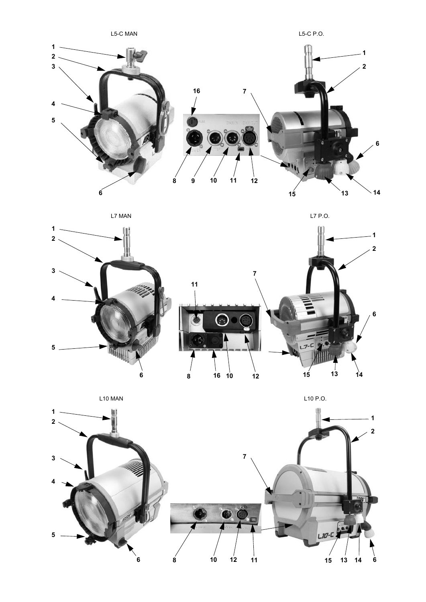

L7 P.O.





L10 MAN

L10 P.O.

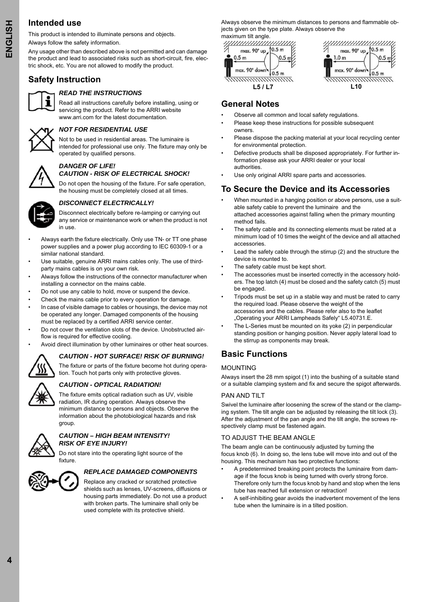# **Intended use**

This product is intended to illuminate persons and objects. Always follow the safety information.

Any usage other than described above is not permitted and can damage the product and lead to associated risks such as short-circuit, fire, electric shock, etc. You are not allowed to modify the product.

# **Safety Instruction**



### *READ THE INSTRUCTIONS*

Read all instructions carefully before installing, using or servicing the product. Refer to the ARRI website www.arri.com for the latest documentation.



# *NOT FOR RESIDENTIAL USE*

Not to be used in residential areas. The luminaire is intended for professional use only. The fixture may only be operated by qualified persons.

# *DANGER OF LIFE!*

# *CAUTION - RISK OF ELECTRICAL SHOCK!*

Do not open the housing of the fixture. For safe operation, the housing must be completely closed at all times.



### *DISCONNECT ELECTRICALLY!*

Disconnect electrically before re-lamping or carrying out any service or maintenance work or when the product is not in use.

- Always earth the fixture electrically. Only use TN- or TT one phase power supplies and a power plug according to IEC 60309-1 or a similar national standard.
- Use suitable, genuine ARRI mains cables only. The use of thirdparty mains cables is on your own risk.
- Always follow the instructions of the connector manufacturer when installing a connector on the mains cable.
- Do not use any cable to hold, move or suspend the device.
- Check the mains cable prior to every operation for damage.
- In case of visible damage to cables or housings, the device may not be operated any longer. Damaged components of the housing must be replaced by a certified ARRI service center.
- Do not cover the ventilation slots of the device. Unobstructed airflow is required for effective cooling.
- Avoid direct illumination by other luminaires or other heat sources.

### *CAUTION - HOT SURFACE! RISK OF BURNING!*



The fixture or parts of the fixture become hot during operation. Touch hot parts only with protective gloves.

# *CAUTION - OPTICAL RADIATION!*

The fixture emits optical radiation such as UV, visible radiation, IR during operation. Always observe the minimum distance to persons and objects. Observe the information about the photobiological hazards and risk group.



#### *CAUTION – HIGH BEAM INTENSITY! RISK OF EYE INJURY!*

Do not stare into the operating light source of the fixture.



#### *REPLACE DAMAGED COMPONENTS*

Replace any cracked or scratched protective shields such as lenses, UV-screens, diffusions or housing parts immediately. Do not use a product with broken parts. The luminaire shall only be used complete with its protective shield.

Always observe the minimum distances to persons and flammable objects given on the type plate. Always observe the maximum tilt angle.



# **General Notes**

- Observe all common and local safety regulations.
- Please keep these instructions for possible subsequent owners.
- Please dispose the packing material at your local recycling center for environmental protection.
- Defective products shall be disposed appropriately. For further information please ask your ARRI dealer or your local authorities.
- Use only original ARRI spare parts and accessories.

# **To Secure the Device and its Accessories**

- When mounted in a hanging position or above persons, use a suitable safety cable to prevent the luminaire and the attached accessories against falling when the primary mounting method fails.
- The safety cable and its connecting elements must be rated at a minimum load of 10 times the weight of the device and all attached accessories.
- Lead the safety cable through the stirrup (2) and the structure the device is mounted to.
- The safety cable must be kept short.
- The accessories must be inserted correctly in the accessory holders. The top latch (4) must be closed and the safety catch (5) must be engaged.
- Tripods must be set up in a stable way and must be rated to carry the required load. Please observe the weight of the accessories and the cables. Please refer also to the leaflet "Operating your ARRI Lampheads Safely" L5.40731.E.
- The L-Series must be mounted on its yoke (2) in perpendicular standing position or hanging position. Never apply lateral load to the stirrup as components may break.

# **Basic Functions**

### MOUNTING

Always insert the 28 mm spigot (1) into the bushing of a suitable stand or a suitable clamping system and fix and secure the spigot afterwards.

#### PAN AND TILT

Swivel the luminaire after loosening the screw of the stand or the clamping system. The tilt angle can be adjusted by releasing the tilt lock (3). After the adjustment of the pan angle and the tilt angle, the screws respectively clamp must be fastened again.

### TO ADJUST THE BEAM ANGLE

The beam angle can be continuously adjusted by turning the focus knob (6). In doing so, the lens tube will move into and out of the housing. This mechanism has two protective functions:

- A predetermined breaking point protects the luminaire from damage if the focus knob is being turned with overly strong force. Therefore only turn the focus knob by hand and stop when the lens tube has reached full extension or retraction!
- A self-inhibiting gear avoids the inadvertent movement of the lens tube when the luminaire is in a tilted position.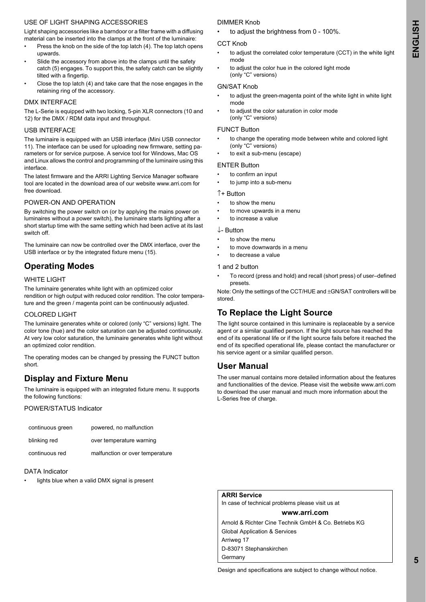#### USE OF LIGHT SHAPING ACCESSORIES

Light shaping accessories like a barndoor or a filter frame with a diffusing material can be inserted into the clamps at the front of the luminaire:

- Press the knob on the side of the top latch (4). The top latch opens upwards.
- Slide the accessory from above into the clamps until the safety catch (5) engages. To support this, the safety catch can be slightly tilted with a fingertip.
- Close the top latch (4) and take care that the nose engages in the retaining ring of the accessory.

#### DMX INTERFACE

The L-Serie is equipped with two locking, 5-pin XLR connectors (10 and 12) for the DMX / RDM data input and throughput.

#### USB INTERFACE

The luminaire is equipped with an USB interface (Mini USB connector 11). The interface can be used for uploading new firmware, setting parameters or for service purpose. A service tool for Windows, Mac OS and Linux allows the control and programming of the luminaire using this interface.

The latest firmware and the ARRI Lighting Service Manager software tool are located in the download area of our website www.arri.com for free download.

#### POWER-ON AND OPERATION

By switching the power switch on (or by applying the mains power on luminaires without a power switch), the luminaire starts lighting after a short startup time with the same setting which had been active at its last switch off.

The luminaire can now be controlled over the DMX interface, over the USB interface or by the integrated fixture menu (15).

# **Operating Modes**

#### WHITE LIGHT

The luminaire generates white light with an optimized color rendition or high output with reduced color rendition. The color temperature and the green / magenta point can be continuously adjusted.

#### COLORED LIGHT

The luminaire generates white or colored (only "C" versions) light. The color tone (hue) and the color saturation can be adjusted continuously. At very low color saturation, the luminaire generates white light without an optimized color rendition.

The operating modes can be changed by pressing the FUNCT button short.

# **Display and Fixture Menu**

The luminaire is equipped with an integrated fixture menu. It supports the following functions:

#### POWER/STATUS Indicator

| continuous green | powered, no malfunction         |
|------------------|---------------------------------|
| blinking red     | over temperature warning        |
| continuous red   | malfunction or over temperature |

#### DATA Indicator

lights blue when a valid DMX signal is present

#### DIMMER Knob

• to adjust the brightness from 0 - 100%.

#### CCT Knob

- to adjust the correlated color temperature (CCT) in the white light mode
	- to adjust the color hue in the colored light mode (only "C" versions)

#### GN/SAT Knob

- to adjust the green-magenta point of the white light in white light mode
- to adjust the color saturation in color mode (only "C" versions)

#### FUNCT Button

- to change the operating mode between white and colored light (only "C" versions)
- to exit a sub-menu (escape)

#### ENTER Button

- to confirm an input to jump into a sub-menu
- 
- ↑+ Button to show the menu
- to move upwards in a menu
- to increase a value
- 

### ↓- Button

- to show the menu
- to move downwards in a menu
- to decrease a value

#### 1 and 2 button

• To record (press and hold) and recall (short press) of user–defined presets.

Note: Only the settings of the CCT/HUE and ±GN/SAT controllers will be stored.

# **To Replace the Light Source**

The light source contained in this luminaire is replaceable by a service agent or a similar qualified person. If the light source has reached the end of its operational life or if the light source fails before it reached the end of its specified operational life, please contact the manufacturer or his service agent or a similar qualified person.

# **User Manual**

The user manual contains more detailed information about the features and functionalities of the device. Please visit the website www.arri.com to download the user manual and much more information about the L-Series free of charge.

### **ARRI Service**

In case of technical problems please visit us at

### **www.arri.com**

Arnold & Richter Cine Technik GmbH & Co. Betriebs KG Global Application & Services Arriweg 17 D-83071 Stephanskirchen

**Germany**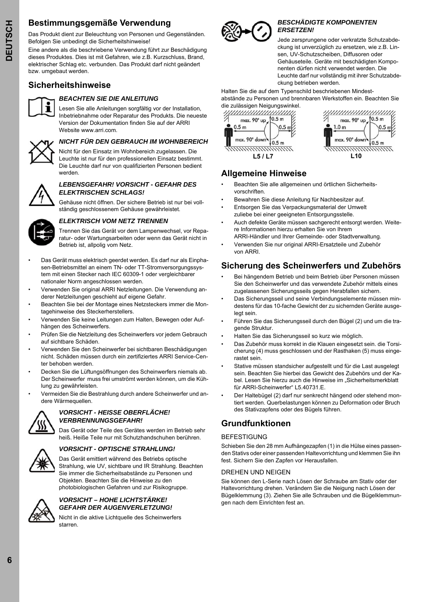# **Bestimmungsgemäße Verwendung**

Das Produkt dient zur Beleuchtung von Personen und Gegenständen. Befolgen Sie unbedingt die Sicherheitshinweise!

Eine andere als die beschriebene Verwendung führt zur Beschädigung dieses Produktes. Dies ist mit Gefahren, wie z.B. Kurzschluss, Brand, elektrischer Schlag etc. verbunden. Das Produkt darf nicht geändert bzw. umgebaut werden.

# **Sicherheitshinweise**



### *BEACHTEN SIE DIE ANLEITUNG*

Lesen Sie alle Anleitungen sorgfältig vor der Installation, Inbetriebnahme oder Reparatur des Produkts. Die neueste Version der Dokumentation finden Sie auf der ARRI Website www.arri.com



### *NICHT FÜR DEN GEBRAUCH IM WOHNBEREICH*

Nicht für den Einsatz im Wohnbereich zugelassen. Die Leuchte ist nur für den professionellen Einsatz bestimmt. Die Leuchte darf nur von qualifizierten Personen bedient werden.



#### *LEBENSGEFAHR! VORSICHT - GEFAHR DES ELEKTRISCHEN SCHLAGS!*

Gehäuse nicht öffnen. Der sichere Betrieb ist nur bei vollständig geschlossenem Gehäuse gewährleistet.



#### *ELEKTRISCH VOM NETZ TRENNEN*

Trennen Sie das Gerät vor dem Lampenwechsel, vor Reparatur- oder Wartungsarbeiten oder wenn das Gerät nicht in Betrieb ist, allpolig vom Netz.

- Das Gerät muss elektrisch geerdet werden. Es darf nur als Einphasen-Betriebsmittel an einem TN- oder TT-Stromversorgungssystem mit einen Stecker nach IEC 60309-1 oder vergleichbarer nationaler Norm angeschlossen werden.
- Verwenden Sie original ARRI Netzleitungen. Die Verwendung anderer Netzleitungen geschieht auf eigene Gefahr.
- Beachten Sie bei der Montage eines Netzsteckers immer die Montagehinweise des Steckerherstellers.
- Verwenden Sie keine Leitungen zum Halten, Bewegen oder Aufhängen des Scheinwerfers.
- Prüfen Sie die Netzleitung des Scheinwerfers vor jedem Gebrauch auf sichtbare Schäden.
- Verwenden Sie den Scheinwerfer bei sichtbaren Beschädigungen nicht. Schäden müssen durch ein zertifiziertes ARRI Service-Center behoben werden.
- Decken Sie die Lüftungsöffnungen des Scheinwerfers niemals ab. Der Scheinwerfer muss frei umströmt werden können, um die Kühlung zu gewährleisten.
- Vermeiden Sie die Bestrahlung durch andere Scheinwerfer und andere Wärmequellen.



### *VORSICHT - HEISSE OBERFLÄCHE! VERBRENNUNGSGEFAHR!*

Das Gerät oder Teile des Gerätes werden im Betrieb sehr heiß. Heiße Teile nur mit Schutzhandschuhen berühren.

### *VORSICHT - OPTISCHE STRAHLUNG!*

Das Gerät emittiert während des Betriebs optische Strahlung, wie UV, sichtbare und IR Strahlung. Beachten Sie immer die Sicherheitsabstände zu Personen und Objekten. Beachten Sie die Hinweise zu den photobiologischen Gefahren und zur Risikogruppe.



#### *VORSICHT – HOHE LICHTSTÄRKE! GEFAHR DER AUGENVERLETZUNG!*

Nicht in die aktive Lichtquelle des Scheinwerfers starren.



#### *BESCHÄDIGTE KOMPONENTEN ERSETZEN!*

Jede zersprungene oder verkratzte Schutzabdeckung ist unverzüglich zu ersetzen, wie z.B. Linsen, UV-Schutzscheiben, Diffusoren oder Gehäuseteile. Geräte mit beschädigten Komponenten dürfen nicht verwendet werden. Die Leuchte darf nur vollständig mit ihrer Schutzabdeckung betrieben werden.

Halten Sie die auf dem Typenschild beschriebenen Mindestabstände zu Personen und brennbaren Werkstoffen ein. Beachten Sie



| ,,,,,,,,,,,,,,,,,,,,,,,,,<br>max. 90° up | 0.5 <sub>m</sub> |
|------------------------------------------|------------------|
| .0 <sub>m</sub>                          |                  |
| max. 90° dowr                            |                  |
| l 10                                     |                  |

# **Allgemeine Hinweise**

- Beachten Sie alle allgemeinen und örtlichen Sicherheitsvorschriften.
- Bewahren Sie diese Anleitung für Nachbesitzer auf.
- Entsorgen Sie das Verpackungsmaterial der Umwelt zuliebe bei einer geeigneten Entsorgungsstelle.
- Auch defekte Geräte müssen sachgerecht entsorgt werden. Weitere Informationen hierzu erhalten Sie von Ihrem ARRI-Händler und Ihrer Gemeinde- oder Stadtverwaltung.
- Verwenden Sie nur original ARRI-Ersatzteile und Zubehör von ARRI.

# **Sicherung des Scheinwerfers und Zubehörs**

- Bei hängendem Betrieb und beim Betrieb über Personen müssen Sie den Scheinwerfer und das verwendete Zubehör mittels eines zugelassenen Sicherungsseils gegen Herabfallen sichern.
- Das Sicherungsseil und seine Verbindungselemente müssen mindestens für das 10-fache Gewicht der zu sichernden Geräte ausgelegt sein.
- Führen Sie das Sicherungsseil durch den Bügel (2) und um die tragende Struktur.
- Halten Sie das Sicherungsseil so kurz wie möglich.
- Das Zubehör muss korrekt in die Klauen eingesetzt sein. die Torsicherung (4) muss geschlossen und der Rasthaken (5) muss eingerastet sein.
- Stative müssen standsicher aufgestellt und für die Last ausgelegt sein. Beachten Sie hierbei das Gewicht des Zubehörs und der Kabel. Lesen Sie hierzu auch die Hinweise im "Sicherheitsmerkblatt für ARRI-Scheinwerfer" L5.40731.E.
- Der Haltebügel (2) darf nur senkrecht hängend oder stehend montiert werden. Querbelastungen können zu Deformation oder Bruch des Stativzapfens oder des Bügels führen.

# **Grundfunktionen**

#### BEFESTIGUNG

Schieben Sie den 28 mm Aufhängezapfen (1) in die Hülse eines passenden Stativs oder einer passenden Haltevorrichtung und klemmen Sie ihn fest. Sichern Sie den Zapfen vor Herausfallen.

#### DREHEN UND NEIGEN

Sie können den L-Serie nach Lösen der Schraube am Stativ oder der Haltevorrichtung drehen. Verändern Sie die Neigung nach Lösen der Bügelklemmung (3). Ziehen Sie alle Schrauben und die Bügelklemmungen nach dem Einrichten fest an.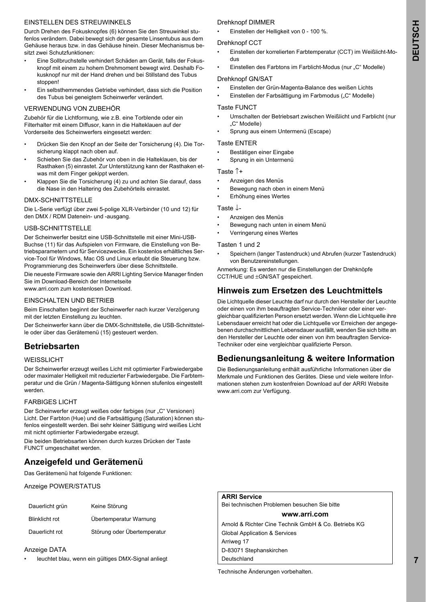#### EINSTELLEN DES STREUWINKELS

Durch Drehen des Fokusknopfes (6) können Sie den Streuwinkel stufenlos verändern. Dabei bewegt sich der gesamte Linsentubus aus dem Gehäuse heraus bzw. in das Gehäuse hinein. Dieser Mechanismus besitzt zwei Schutzfunktionen:

- Eine Sollbruchstelle verhindert Schäden am Gerät, falls der Fokusknopf mit einem zu hohem Drehmoment bewegt wird. Deshalb Fokusknopf nur mit der Hand drehen und bei Stillstand des Tubus stoppen!
- Ein selbsthemmendes Getriebe verhindert, dass sich die Position des Tubus bei geneigtem Scheinwerfer verändert.

#### VERWENDUNG VON ZUBEHÖR

Zubehör für die Lichtformung, wie z.B. eine Torblende oder ein Filterhalter mit einem Diffusor, kann in die Halteklauen auf der Vorderseite des Scheinwerfers eingesetzt werden:

- Drücken Sie den Knopf an der Seite der Torsicherung (4). Die Torsicherung klappt nach oben auf.
- Schieben Sie das Zubehör von oben in die Halteklauen, bis der Rasthaken (5) einrastet. Zur Unterstützung kann der Rasthaken etwas mit dem Finger gekippt werden.
- Klappen Sie die Torsicherung (4) zu und achten Sie darauf, dass die Nase in den Haltering des Zubehörteils einrastet.

#### DMX-SCHNITTSTELLE

Die L-Serie verfügt über zwei 5-polige XLR-Verbinder (10 und 12) für den DMX / RDM Datenein- und -ausgang.

#### USB-SCHNITTSTELLE

Der Scheinwerfer besitzt eine USB-Schnittstelle mit einer Mini-USB-Buchse (11) für das Aufspielen von Firmware, die Einstellung von Betriebsparametern und für Servicezwecke. Ein kostenlos erhältliches Service-Tool für Windows, Mac OS und Linux erlaubt die Steuerung bzw. Programmierung des Scheinwerfers über diese Schnittstelle.

Die neueste Firmware sowie den ARRI Lighting Service Manager finden Sie im Download-Bereich der Internetseite www.arri.com zum kostenlosen Download.

#### EINSCHALTEN UND BETRIEB

Beim Einschalten beginnt der Scheinwerfer nach kurzer Verzögerung mit der letzten Einstellung zu leuchten.

Der Scheinwerfer kann über die DMX-Schnittstelle, die USB-Schnittstelle oder über das Gerätemenü (15) gesteuert werden.

# **Betriebsarten**

#### WEISSLICHT

Der Scheinwerfer erzeugt weißes Licht mit optimierter Farbwiedergabe oder maximaler Helligkeit mit reduzierter Farbwiedergabe. Die Farbtemperatur und die Grün / Magenta-Sättigung können stufenlos eingestellt werden.

#### FARBIGES LICHT

Der Scheinwerfer erzeugt weißes oder farbiges (nur "C" Versionen) Licht. Der Farbton (Hue) und die Farbsättigung (Saturation) können stufenlos eingestellt werden. Bei sehr kleiner Sättigung wird weißes Licht mit nicht optimierter Farbwiedergabe erzeugt.

Die beiden Betriebsarten können durch kurzes Drücken der Taste FUNCT umgeschaltet werden.

# **Anzeigefeld und Gerätemenü**

Das Gerätemenü hat folgende Funktionen:

Anzeige POWER/STATUS

| Dauerlicht grün       | Keine Störung               |
|-----------------------|-----------------------------|
| <b>Blinklicht rot</b> | Übertemperatur Warnung      |
| Dauerlicht rot        | Störung oder Übertemperatur |

#### Anzeige DATA

leuchtet blau, wenn ein gültiges DMX-Signal anliegt

### Drehknopf DIMMER

• Einstellen der Helligkeit von 0 - 100 %.

#### Drehknopf CCT

- Einstellen der korrelierten Farbtemperatur (CCT) im Weißlicht-Modus
- Einstellen des Farbtons im Farblicht-Modus (nur "C" Modelle)

#### Drehknopf GN/SAT

- Einstellen der Grün-Magenta-Balance des weißen Lichts
- Einstellen der Farbsättigung im Farbmodus ("C" Modelle)

#### Taste FUNCT

- Umschalten der Betriebsart zwischen Weißlicht und Farblicht (nur "C" Modelle)
- Sprung aus einem Untermenü (Escape)

#### Taste ENTER

- Bestätigen einer Eingabe
- Sprung in ein Untermenü

#### Taste ↑+

- Anzeigen des Menüs
- Bewegung nach oben in einem Menü
- Erhöhung eines Wertes

#### Taste ↓-

- Anzeigen des Menüs
- Bewegung nach unten in einem Menü
- Verringerung eines Wertes

#### Tasten 1 und 2

• Speichern (langer Tastendruck) und Abrufen (kurzer Tastendruck) von Benutzereinstellungen.

Anmerkung: Es werden nur die Einstellungen der Drehknöpfe CCT/HUE und ±GN/SAT gespeichert.

# **Hinweis zum Ersetzen des Leuchtmittels**

Die Lichtquelle dieser Leuchte darf nur durch den Hersteller der Leuchte oder einen von ihm beauftragten Service-Techniker oder einer vergleichbar qualifizierten Person ersetzt werden. Wenn die Lichtquelle ihre Lebensdauer erreicht hat oder die Lichtquelle vor Erreichen der angegebenen durchschnittlichen Lebensdauer ausfällt, wenden Sie sich bitte an den Hersteller der Leuchte oder einen von ihm beauftragten Service-Techniker oder eine vergleichbar qualifizierte Person.

# **Bedienungsanleitung & weitere Information**

Die Bedienungsanleitung enthält ausführliche Informationen über die Merkmale und Funktionen des Gerätes. Diese und viele weitere Informationen stehen zum kostenfreien Download auf der ARRI Website www.arri.com zur Verfügung.

|  | <b>ARRI Service</b> |
|--|---------------------|
|--|---------------------|

Bei technischen Problemen besuchen Sie bitte

#### **www.arri.com**

Arnold & Richter Cine Technik GmbH & Co. Betriebs KG Global Application & Services Arriweg 17 D-83071 Stephanskirchen Deutschland

Technische Änderungen vorbehalten.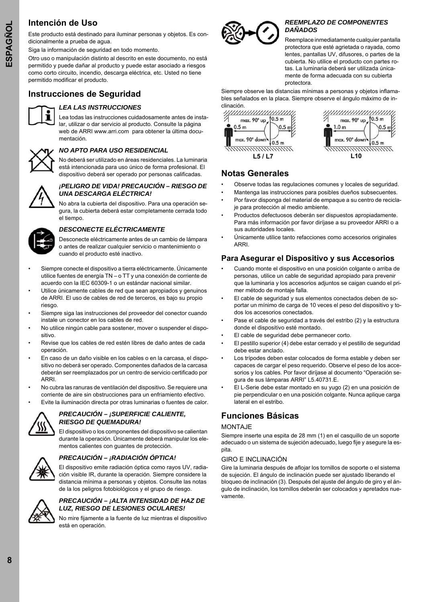# **Intención de Uso**

Este producto está destinado para iluminar personas y objetos. Es condicionalmente a prueba de agua.

Siga la información de seguridad en todo momento.

Otro uso o manipulación distinto al descrito en este documento, no está permitido y puede dañar al producto y puede estar asociado a riesgos como corto circuito, incendio, descarga eléctrica, etc. Usted no tiene permitido modificar el producto.

# **Instrucciones de Seguridad**



### *LEA LAS INSTRUCCIONES*

Lea todas las instrucciones cuidadosamente antes de instalar, utilizar o dar servicio al producto. Consulte la página web de ARRI www.arri.com para obtener la última documentación.



# *NO APTO PARA USO RESIDENCIAL*

No deberá ser utilizado en áreas residenciales. La luminaria está intencionada para uso único de forma profesional. El dispositivo deberá ser operado por personas calificadas.



#### *¡PELIGRO DE VIDA! PRECAUCIÓN – RIESGO DE UNA DESCARGA ELÉCTRICA!*

No abra la cubierta del dispositivo. Para una operación segura, la cubierta deberá estar completamente cerrada todo el tiempo.



### *DESCONECTE ELÉCTRICAMENTE*

Desconecte eléctricamente antes de un cambio de lámpara o antes de realizar cualquier servicio o mantenimiento o cuando el producto esté inactivo.

- Siempre conecte el dispositivo a tierra eléctricamente. Únicamente utilice fuentes de energía TN – o TT y una conexión de corriente de acuerdo con la IEC 60309-1 o un estándar nacional similar.
- Utilice únicamente cables de red que sean apropiados y genuinos de ARRI. El uso de cables de red de terceros, es bajo su propio riesgo.
- Siempre siga las instrucciones del proveedor del conector cuando instale un conector en los cables de red.
- No utilice ningún cable para sostener, mover o suspender el dispositivo.
- Revise que los cables de red estén libres de daño antes de cada operación.
- En caso de un daño visible en los cables o en la carcasa, el dispositivo no deberá ser operado. Componentes dañados de la carcasa deberán ser reemplazados por un centro de servicio certificado por ARRI.
- No cubra las ranuras de ventilación del dispositivo. Se requiere una corriente de aire sin obstrucciones para un enfriamiento efectivo.
	- Evite la iluminación directa por otras luminarias o fuentes de calor.



#### *PRECAUCIÓN – ¡SUPERFICIE CALIENTE, RIESGO DE QUEMADURA!*

El dispositivo o los componentes del dispositivo se calientan durante la operación. Únicamente deberá manipular los elementos calientes con guantes de protección.



### *PRECAUCIÓN – ¡RADIACIÓN ÓPTICA!*

El dispositivo emite radiación óptica como rayos UV, radiación visible IR, durante la operación. Siempre considere la distancia mínima a personas y objetos. Consulte las notas de la los peligros fotobiológicos y el grupo de riesgo.



#### *PRECAUCIÓN – ¡ALTA INTENSIDAD DE HAZ DE LUZ, RIESGO DE LESIONES OCULARES!*

No mire fijamente a la fuente de luz mientras el dispositivo está en operación.



#### *REEMPLAZO DE COMPONENTES DAÑADOS*

Reemplace inmediatamente cualquier pantalla protectora que esté agrietada o rayada, como lentes, pantallas UV, difusores, o partes de la cubierta. No utilice el producto con partes rotas. La luminaria deberá ser utilizada únicamente de forma adecuada con su cubierta protectora.

Siempre observe las distancias mínimas a personas y objetos inflamables señalados en la placa. Siempre observe el ángulo máximo de inclinación.





# **Notas Generales**

- Observe todas las regulaciones comunes y locales de seguridad.
- Mantenga las instrucciones para posibles dueños subsecuentes.
- Por favor disponga del material de empaque a su centro de reciclaje para protección al medio ambiente.
- Productos defectuosos deberán ser dispuestos apropiadamente. Para más información por favor diríjase a su proveedor ARRI o a sus autoridades locales.
- Únicamente utilice tanto refacciones como accesorios originales ARRI.

### **Para Asegurar el Dispositivo y sus Accesorios**

- Cuando monte el dispositivo en una posición colgante o arriba de personas, utilice un cable de seguridad apropiado para prevenir que la luminaria y los accesorios adjuntos se caigan cuando el primer método de montaje falla.
- El cable de seguridad y sus elementos conectados deben de soportar un mínimo de carga de 10 veces el peso del dispositivo y todos los accesorios conectados.
- Pase el cable de seguridad a través del estribo (2) y la estructura donde el dispositivo esté montado.
- El cable de seguridad debe permanecer corto.
- El pestillo superior (4) debe estar cerrado y el pestillo de seguridad debe estar anclado.
- Los trípodes deben estar colocados de forma estable y deben ser capaces de cargar el peso requerido. Observe el peso de los accesorios y los cables. Por favor diríjase al documento "Operación segura de sus lámparas ARRI" L5.40731.E.
- El L-Serie debe estar montado en su yugo (2) en una posición de pie perpendicular o en una posición colgante. Nunca aplique carga lateral en el estribo.

# **Funciones Básicas**

#### MONTAJE

Siempre inserte una espita de 28 mm (1) en el casquillo de un soporte adecuado o un sistema de sujeción adecuado, luego fije y asegure la espita.

#### GIRO E INCLINACIÓN

Gire la luminaria después de aflojar los tornillos de soporte o el sistema de sujeción. El ángulo de inclinación puede ser ajustado liberando el bloqueo de inclinación (3). Después del ajuste del ángulo de giro y el ángulo de inclinación, los tornillos deberán ser colocados y apretados nuevamente.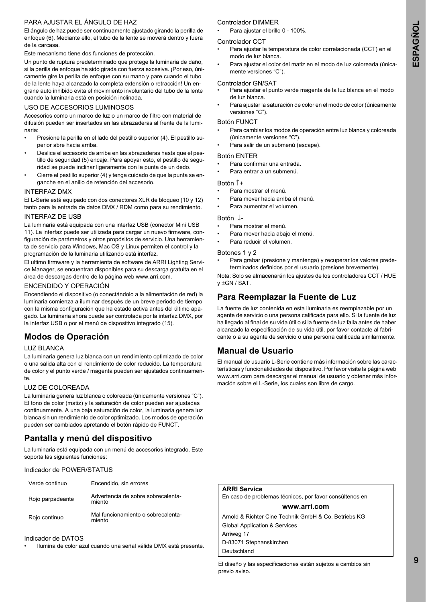### PARA AJUSTAR EL ÁNGULO DE HAZ

El ángulo de haz puede ser continuamente ajustado girando la perilla de enfoque (6). Mediante ello, el tubo de la lente se moverá dentro y fuera de la carcasa.

Este mecanismo tiene dos funciones de protección.

Un punto de ruptura predeterminado que protege la luminaria de daño, si la perilla de enfoque ha sido girada con fuerza excesiva. ¡Por eso, únicamente gire la perilla de enfoque con su mano y pare cuando el tubo de la lente haya alcanzado la completa extensión o retracción! Un engrane auto inhibido evita el movimiento involuntario del tubo de la lente cuando la luminaria está en posición inclinada.

#### USO DE ACCESORIOS LUMINOSOS

Accesorios como un marco de luz o un marco de filtro con material de difusión pueden ser insertados en las abrazaderas al frente de la luminaria:

- Presione la perilla en el lado del pestillo superior (4). El pestillo superior abre hacia arriba.
- Deslice el accesorio de arriba en las abrazaderas hasta que el pestillo de seguridad (5) encaje. Para apoyar esto, el pestillo de seguridad se puede inclinar ligeramente con la punta de un dedo.
- Cierre el pestillo superior (4) y tenga cuidado de que la punta se enganche en el anillo de retención del accesorio.

#### INTERFAZ DMX

El L-Serie está equipado con dos conectores XLR de bloqueo (10 y 12) tanto para la entrada de datos DMX / RDM como para su rendimiento.

#### INTERFAZ DE USB

La luminaria está equipada con una interfaz USB (conector Mini USB 11). La interfaz puede ser utilizada para cargar un nuevo firmware, configuración de parámetros y otros propósitos de servicio. Una herramienta de servicio para Windows, Mac OS y Linux permiten el control y la programación de la luminaria utilizando está interfaz.

El ultimo firmware y la herramienta de software de ARRI Lighting Service Manager, se encuentran disponibles para su descarga gratuita en el área de descargas dentro de la página web www.arri.com.

#### ENCENDIDO Y OPERACIÓN

Encendiendo el dispositivo (o conectándolo a la alimentación de red) la luminaria comienza a iluminar después de un breve periodo de tiempo con la misma configuración que ha estado activa antes del último apagado. La luminaria ahora puede ser controlada por la interfaz DMX, por la interfaz USB o por el menú de dispositivo integrado (15).

# **Modos de Operación**

#### LUZ BLANCA

La luminaria genera luz blanca con un rendimiento optimizado de color o una salida alta con el rendimiento de color reducido. La temperatura de color y el punto verde / magenta pueden ser ajustados continuamente.

#### LUZ DE COLOREADA

La luminaria genera luz blanca o coloreada (únicamente versiones "C"). El tono de color (matiz) y la saturación de color pueden ser ajustadas continuamente. A una baja saturación de color, la luminaria genera luz blanca sin un rendimiento de color optimizado. Los modos de operación pueden ser cambiados apretando el botón rápido de FUNCT.

# **Pantalla y menú del dispositivo**

La luminaria está equipada con un menú de accesorios integrado. Este soporta las siguientes funciones:

Indicador de POWER/STATUS

| Verde continuo   | Encendido, sin errores                       |
|------------------|----------------------------------------------|
| Rojo parpadeante | Advertencia de sobre sobrecalenta-<br>miento |
| Rojo continuo    | Mal funcionamiento o sobrecalenta-<br>miento |

#### Indicador de DATOS

• Ilumina de color azul cuando una señal válida DMX está presente.

#### Controlador DIMMER

• Para ajustar el brillo 0 - 100%.

#### Controlador CCT

- Para ajustar la temperatura de color correlacionada (CCT) en el modo de luz blanca.
- Para ajustar el color del matiz en el modo de luz coloreada (únicamente versiones "C").

#### Controlador GN/SAT

- Para ajustar el punto verde magenta de la luz blanca en el modo de luz blanca.
- Para ajustar la saturación de color en el modo de color (únicamente versiones "C").

#### Botón FUNCT

- Para cambiar los modos de operación entre luz blanca y coloreada (únicamente versiones "C").
- Para salir de un submenú (escape).

#### Botón ENTER

- Para confirmar una entrada.
- Para entrar a un submenú.

#### Botón ↑+

- Para mostrar el menú.
- Para mover hacia arriba el menú.
- Para aumentar el volumen.

#### Botón ↓-

- Para mostrar el menú.
- Para mover hacia abajo el menú.
- Para reducir el volumen.

#### Botones 1 y 2

• Para grabar (presione y mantenga) y recuperar los valores predeterminados definidos por el usuario (presione brevemente).

Nota: Solo se almacenarán los ajustes de los controladores CCT / HUE  $v \pm GN / SAT$ .

# **Para Reemplazar la Fuente de Luz**

La fuente de luz contenida en esta iluminaria es reemplazable por un agente de servicio o una persona calificada para ello. Si la fuente de luz ha llegado al final de su vida útil o si la fuente de luz falla antes de haber alcanzado la especificación de su vida útil, por favor contacte al fabricante o a su agente de servicio o una persona calificada similarmente.

# **Manual de Usuario**

El manual de usuario L-Serie contiene más información sobre las características y funcionalidades del dispositivo. Por favor visite la página web www.arri.com para descargar el manual de usuario y obtener más información sobre el L-Serie, los cuales son libre de cargo.

### **ARRI Service**

En caso de problemas técnicos, por favor consúltenos en

#### **www.arri.com**

Arnold & Richter Cine Technik GmbH & Co. Betriebs KG Global Application & Services Arriweg 17 D-83071 Stephanskirchen Deutschland

El diseño y las especificaciones están sujetos a cambios sin previo aviso.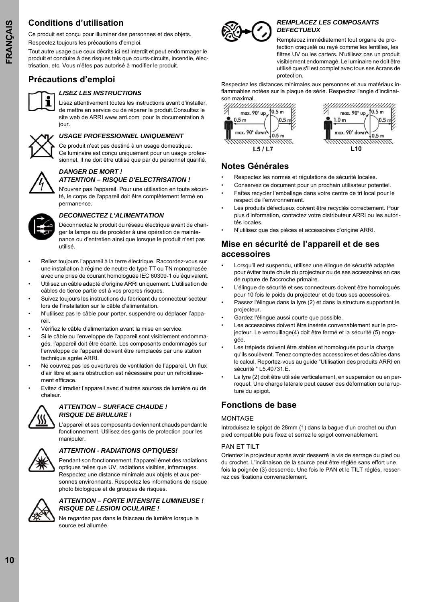# **Conditions d'utilisation**

Ce produit est conçu pour illuminer des personnes et des objets. Respectez toujours les précautions d'emploi.

Tout autre usage que ceux décrits ici est interdit et peut endommager le produit et conduire à des risques tels que courts-circuits, incendie, électrisation, etc. Vous n'êtes pas autorisé à modifier le produit.

# **Précautions d'emploi**



### *LISEZ LES INSTRUCTIONS*

Lisez attentivement toutes les instructions avant d'installer, de mettre en service ou de réparer le produit.Consultez le site web de ARRI www.arri.com pour la documentation à iour



# *USAGE PROFESSIONNEL UNIQUEMENT*

Ce produit n'est pas destiné à un usage domestique. Ce luminaire est conçu uniquement pour un usage professionnel. Il ne doit être utilisé que par du personnel qualifié.

# *DANGER DE MORT !*

*ATTENTION – RISQUE D'ELECTRISATION !*

N'ouvrez pas l'appareil. Pour une utilisation en toute sécurité, le corps de l'appareil doit être complètement fermé en permanence.



### *DECONNECTEZ L'ALIMENTATION*

Déconnectez le produit du réseau électrique avant de changer la lampe ou de procéder à une opération de maintenance ou d'entretien ainsi que lorsque le produit n'est pas utilisé.

- Reliez toujours l'appareil à la terre électrique. Raccordez-vous sur une installation à régime de neutre de type TT ou TN monophasée avec une prise de courant homologuée IEC 60309-1 ou équivalent.
- Utilisez un câble adapté d'origine ARRI uniquement. L'utilisation de câbles de tierce partie est à vos propres risques.
- Suivez toujours les instructions du fabricant du connecteur secteur lors de l'installation sur le câble d'alimentation.
- N'utilisez pas le câble pour porter, suspendre ou déplacer l'appareil.
- Vérifiez le câble d'alimentation avant la mise en service.
- Si le câble ou l'enveloppe de l'appareil sont visiblement endommagés, l'appareil doit être écarté. Les composants endommagés sur l'enveloppe de l'appareil doivent être remplacés par une station technique agrée ARRI.
- Ne couvrez pas les ouvertures de ventilation de l'appareil. Un flux d'air libre et sans obstruction est nécessaire pour un refroidissement efficace.
- Evitez d'irradier l'appareil avec d'autres sources de lumière ou de chaleur.



#### *ATTENTION – SURFACE CHAUDE ! RISQUE DE BRULURE !*

L'appareil et ses composants deviennent chauds pendant le fonctionnement. Utilisez des gants de protection pour les manipuler.



### *ATTENTION - RADIATIONS OPTIQUES!*

Pendant son fonctionnement, l'appareil émet des radiations optiques telles que UV, radiations visibles, infrarouges. Respectez une distance minimale aux objets et aux personnes environnants. Respectez les informations de risque photo biologique et de groupes de risques.



#### *ATTENTION – FORTE INTENSITE LUMINEUSE ! RISQUE DE LESION OCULAIRE !*

Ne regardez pas dans le faisceau de lumière lorsque la source est allumée.



#### *REMPLACEZ LES COMPOSANTS DEFECTUEUX*

Remplacez immédiatement tout organe de protection craquelé ou rayé comme les lentilles, les filtres UV ou les carters. N'utilisez pas un produit visiblement endommagé. Le luminaire ne doit être utilisé que s'il est complet avec tous ses écrans de protection.

Respectez les distances minimales aux personnes et aux matériaux inflammables notées sur la plaque de série. Respectez l'angle d'inclinaison maximal.





# **Notes Générales**

- Respectez les normes et régulations de sécurité locales.
- Conservez ce document pour un prochain utilisateur potentiel. • Faîtes recycler l'emballage dans votre centre de tri local pour le respect de l'environnement.
- Les produits défectueux doivent être recyclés correctement. Pour plus d'information, contactez votre distributeur ARRI ou les autorités locales.
- N'utilisez que des pièces et accessoires d'origine ARRI.

# **Mise en sécurité de l'appareil et de ses accessoires**

- Lorsqu'il est suspendu, utilisez une élingue de sécurité adaptée pour éviter toute chute du projecteur ou de ses accessoires en cas de rupture de l'accroche primaire.
- L'élingue de sécurité et ses connecteurs doivent être homologués pour 10 fois le poids du projecteur et de tous ses accessoires.
- Passez l'élingue dans la lyre (2) et dans la structure supportant le projecteur.
- Gardez l'élingue aussi courte que possible.
- Les accessoires doivent être insérés convenablement sur le projecteur. Le verrouillage(4) doit être fermé et la sécurité (5) engagée.
- Les trépieds doivent être stables et homologués pour la charge qu'ils soulèvent. Tenez compte des accessoires et des câbles dans le calcul. Reportez-vous au guide "Utilisation des produits ARRI en sécurité " L5.40731.E.
- La lyre (2) doit être utilisée verticalement, en suspension ou en perroquet. Une charge latérale peut causer des déformation ou la rupture du spigot.

# **Fonctions de base**

### MONTAGE

Introduisez le spigot de 28mm (1) dans la bague d'un crochet ou d'un pied compatible puis fixez et serrez le spigot convenablement.

#### PAN FT TILT

Orientez le projecteur après avoir desserré la vis de serrage du pied ou du crochet. L'inclinaison de la source peut être réglée sans effort une fois la poignée (3) desserrée. Une fois le PAN et le TILT réglés, resserrez ces fixations convenablement.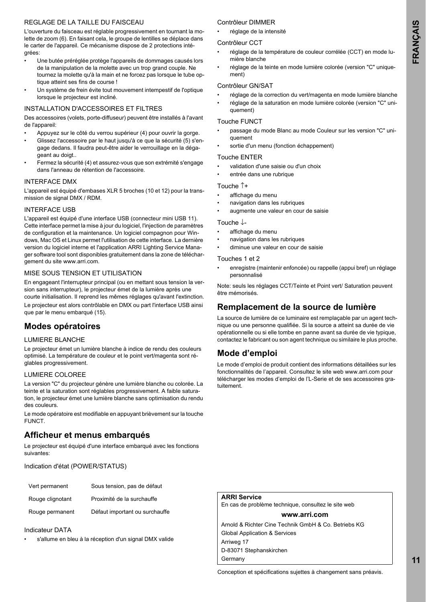### REGLAGE DE LA TAILLE DU FAISCEAU

L'ouverture du faisceau est réglable progressivement en tournant la molette de zoom (6). En faisant cela, le groupe de lentilles se déplace dans le carter de l'appareil. Ce mécanisme dispose de 2 protections intégrées:

- Une butée préréglée protège l'appareils de dommages causés lors de la manipulation de la molette avec un trop grand couple. Ne tournez la molette qu'à la main et ne forcez pas lorsque le tube optique atteint ses fins de course !
- Un système de frein évite tout mouvement intempestif de l'optique lorsque le projecteur est incliné.

#### INSTALLATION D'ACCESSOIRES ET FILTRES

Des accessoires (volets, porte-diffuseur) peuvent être installés à l'avant de l'appareil:

- Appuyez sur le côté du verrou supérieur (4) pour ouvrir la gorge.
- Glissez l'accessoire par le haut jusqu'à ce que la sécurité (5) s'engage dedans. Il faudra peut-être aider le verrouillage en la dégageant au doigt..
- Fermez la sécurité (4) et assurez-vous que son extrémité s'engage dans l'anneau de rétention de l'accessoire.

#### INTERFACE DMX

L'appareil est équipé d'embases XLR 5 broches (10 et 12) pour la transmission de signal DMX / RDM.

#### INTERFACE USB

L'appareil est équipé d'une interface USB (connecteur mini USB 11). Cette interface permet la mise à jour du logiciel, l'injection de paramètres de configuration et la maintenance. Un logiciel compagnon pour Windows, Mac OS et Linux permet l'utilisation de cette interface. La dernière version du logiciel interne et l'application ARRI Lighting Service Manager software tool sont disponibles gratuitement dans la zone de téléchargement du site www.arri.com.

#### MISE SOUS TENSION ET UTILISATION

En engageant l'interrupteur principal (ou en mettant sous tension la version sans interrupteur), le projecteur émet de la lumière après une courte initialisation. Il reprend les mêmes réglages qu'avant l'extinction. Le projecteur est alors contrôlable en DMX ou part l'interface USB ainsi que par le menu embarqué (15).

### **Modes opératoires**

#### LUMIERE BLANCHE

Le projecteur émet un lumière blanche à indice de rendu des couleurs optimisé. La température de couleur et le point vert/magenta sont réglables progressivement.

#### LUMIERE COLOREE

La version "C" du projecteur génère une lumière blanche ou colorée. La teinte et la saturation sont réglables progressivement. A faible saturation, le projecteur émet une lumière blanche sans optimisation du rendu des couleurs.

Le mode opératoire est modifiable en appuyant brièvement sur la touche FUNCT.

# **Afficheur et menus embarqués**

Le projecteur est équipé d'une interface embarqué avec les fonctions suivantes:

Indication d'état (POWER/STATUS)

| Vert permanent   | Sous tension, pas de défaut    |
|------------------|--------------------------------|
| Rouge clignotant | Proximité de la surchauffe     |
| Rouge permanent  | Défaut important ou surchauffe |

#### Indicateur DATA

• s'allume en bleu à la réception d'un signal DMX valide

#### Contrôleur DIMMER

• réglage de la intensité

#### Contrôleur CCT

- réglage de la température de couleur corrélée (CCT) en mode lumière blanche
- réglage de la teinte en mode lumière colorée (version "C" uniquement)

#### Contrôleur GN/SAT

- réglage de la correction du vert/magenta en mode lumière blanche
- réglage de la saturation en mode lumière colorée (version "C" uniquement)

#### Touche FUNCT

- passage du mode Blanc au mode Couleur sur les version "C" uniquement
- sortie d'un menu (fonction échappement)

#### Touche ENTER

- validation d'une saisie ou d'un choix
- entrée dans une rubrique

#### Touche ↑+

- affichage du menu
- navigation dans les rubriques
- augmente une valeur en cour de saisie

#### Touche ↓-

- affichage du menu
- navigation dans les rubriques
- diminue une valeur en cour de saisie

#### Touches 1 et 2

• enregistre (maintenir enfoncée) ou rappelle (appui bref) un réglage personnalisé

Note: seuls les réglages CCT/Teinte et Point vert/ Saturation peuvent être mémorisés.

# **Remplacement de la source de lumière**

La source de lumière de ce luminaire est remplaçable par un agent technique ou une personne qualifiée. Si la source a atteint sa durée de vie opérationnelle ou si elle tombe en panne avant sa durée de vie typique, contactez le fabricant ou son agent technique ou similaire le plus proche.

# **Mode d'emploi**

Le mode d'emploi de produit contient des informations détaillées sur les fonctionnalités de l'appareil. Consultez le site web www.arri.com pour télécharger les modes d'emploi de l'L-Serie et de ses accessoires gratuitement.

| ARRI Service                                         |
|------------------------------------------------------|
| En cas de problème technique, consultez le site web  |
| www.arri.com                                         |
| Arnold & Richter Cine Technik GmbH & Co. Betriebs KG |
| Global Application & Services                        |
| Arriweg 17                                           |

D-83071 Stephanskirchen

Conception et spécifications sujettes à changement sans préavis.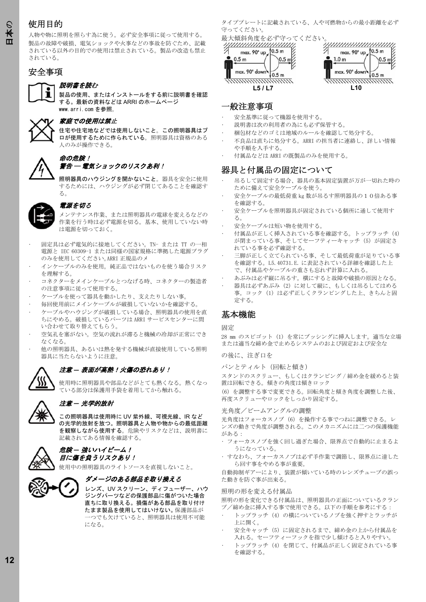# 使用目的

人物や物に照明を照らす為に使う。必ず安全事項に従って使用する。 製品の故障や破損、電気ショックや火事などの事故を防ぐため、記載 されている以外の目的での使用は禁止されている。製品の改造も禁止 されている。

# 安全事項

#### 説明書を読む

製品の使用、またはインストールをする前に説明書を確認 する。最新の資料などは ARRI のホームページ www.arri.com を参照。



### 家庭での使用は禁止

住宅や住宅地などでは使用しないこと。この照明器具はプ ロが使用するために作られている。 照明器具は資格のある 人のみが操作できる。



警告 ― 電気ショックのリスクあ利!

照明器具のハウジングを開かないこと。 器具を安全に使用 するためには、ハウジングが必ず閉じてあることを確認す る。



### 電源を切る

メンテナンス作業、または照明器具の電球を変えるなどの 作業を行う時は必ず電源を切る。基本、使用していない時 は電源を切っておく。

- 固定具は必ず電気的に接地してください。TN- または TT の一相 電源と IEC 60309-1 または同様の国家規格に準拠した電源プラグ のみを使用してください。ARRI 正規品のメ
- インケーブルのみを使用。純正品ではないものを使う場合リスク を理解する。
- コネクターをメインケーブルとつなげる時、コネクターの製造者 の注意事項に従って使用する。
- ケーブルを使って器具を動かしたり、支えたりしない事。
- 毎回使用前にメインケーブルが破損していないかを確認する。
- ケーブルやハウジングが破損している場合、照明器具の使用を直 ちにやめる。破損しているパーツは ARRI サービスセンターに問 い合わせて取り替えてもらう。
- 空気孔を塞がない。空気の流れが滞ると機械の冷却が正常にでき なくなる。
- 他の照明器具、あるいは熱を発する機械が直接使用している照明 器具に当たらないように注意。



#### 注意 *―* 表面が高熱!火傷の恐れあり!

使用時に照明器具や部品などがとても熱くなる。熱くなっ ている部分は保護用手袋を着用してから触れる。



### 注意 *―* 光学的放射

この照明器具は使用時に UV 紫外線、可視光線、IR など の光学的放射を放つ。照明器具と人物や物からの最低距離 を観察しながら使用する。 危険やリスクなどは、説明書に 記載されてある情報を確認する。



# 危険 *―* 強いハイビーム! 目に傷を負うリスクあり!

使用中の照明器具のライトソースを直視しないこと。



レンズ、UV スクリーン、ディフューザー、ハウ ジングパーツなどの保護部品に傷がついた場合 直ちに取り換える。損傷がある部品を取り付け たまま製品を使用してはいけない。保護部品が 一つでも欠けていると、照明器具は使用不可能 になる。

タイププレートに記載されている、人や可燃物からの最小距離を必ず 守ってください。



### 一般注意事項

- 安全基準に従って機器を使用する。
- 説明書は次の利用者の為にも必ず保管する。
- 梱包材などのゴミは地域のルールを確認して処分する。
- 不良品は直ちに処分する。ARRI の担当者に連絡し、詳しい情報 や手順を入手する。
- 付属品などは ARRI の既製品のみを使用する。

### 器具と付属品の固定について

- 吊るして固定する場合、器具の基本固定装置が万が一切れた時の ために備えて安全ケーブルを使う。
- 安全ケーブルの最低荷重 kg 数が吊るす照明器具の10倍ある事 を確認する。
- 安全ケーブルを照明器具が固定されている個所に通して使用す る。
- 安全ケーブルは短い物を使用する。
- 付属品が正しく挿入されている事を確認する。トップラッチ(4) が閉まっている事、そしてセーフティーキャッチ(5)が固定さ れている事を必ず確認する。
- 三脚が正しく立てられている事、そして最低荷重が足りている事 を確認する。L5.40731.E. に表記されている詳細を確認した上 で、付属品やケーブルの重さも忘れず計算に入れる。
- あぶみは必ず縦に吊るす。横にすると故障や破損の原因となる。
- 器具は必ずあぶみ(2)に対して縦に、もしくは吊るしてはめる 事。コック(1)は必ず正しくクランピングした上、きちんと固 定する。

#### 基本機能

固定

28 mm のスピゴット (1) を常にブッシングに挿入します。 適当な立場 または適当な締め金で止めるシステムのおよび固定および安全な

の後に、注ぎ口を

パンとティルト(回転と傾き)

スタンドのスクリュー、もしくはクランピング / 締め金を緩めると装 置は回転できる。傾きの角度は傾きロック

(6)を調整する事で変更できる。回転角度と傾き角度を調整した後、 再度スクリューやロックをしっかり固定する。

#### 光角度/ビームアングルの調整

光角度はフォーカスノブ(6)を操作する事でつねに調整できる。レ ンズの動きで角度が調整される。このメカニズムには二つの保護機能 がある:

- フォーカスノブを強く回し過ぎた場合、限界点で自動的に止まるよ うになっている。
- すなわち、フォーカスノブは必ず手作業で調節し、限界点に達した ら回す事をやめる事が重要。

自動抑制ギアーにより、装置が傾いている時のレンズチューブの誤っ た動きを防ぐ事が出来る。

#### 照明の形を変える付属品

照明の形を変化できる付属品は、照明器具の正面についているクラン プ/締め金に挿入する事で使用できる。以下の手順を参考にする:

- トップラッチ(4)の横についているノブを強く押すとラッチが 上に開く。
- 安全キャッチ(5)に固定されるまで、締め金の上から付属品を 入れる。セーフティーフックを指で少し傾けると入りやすい。
- トップラッチ(4)を閉じて、付属品が正しく固定されている事 を確認する。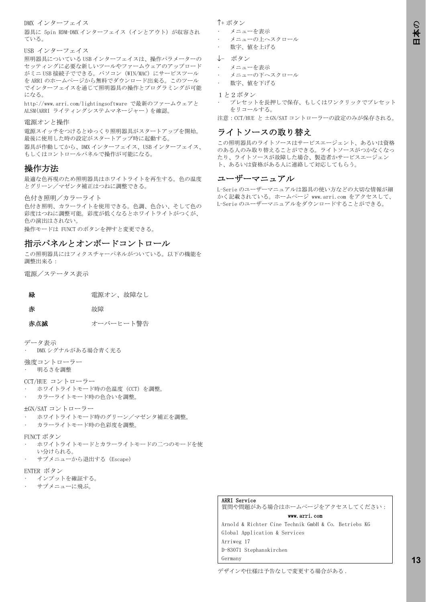#### DMX インターフェイス

器具に 5pin RDM-DMX インターフェイス (インとアウト) が収容され ている。

#### USB インターフェイス

照明器具についている USB インターフェイスは、操作パラメーターの セッティングに必要な新しいツールやファームウェアのアップロード がミニ USB 接続子でできる。パソコン(WIN/MAC)にサービスツール を ARRI のホームページから無料でダウンロード出来る。このツール でインターフェイスを通じて照明器具の操作とプログラミングが可能 になる。

http://www.arri.com/lightingsoftware で最新のファームウェアと ALSM(ARRI ライティングシステムマネージャー)を確認。

#### 電源オンと操作

電源スイッチをつけるとゆっくり照明器具がスタートアップを開始。 最後に使用した時の設定がスタートアップ時に起動する。 器具が作動してから、DMX インターフェイス、USB インターフェイス、

もしくはコントロールパネルで操作が可能になる。

### 操作方法

最適な色再現のため照明器具はホワイトライトを再生する。色の温度 とグリーン/マゼンタ補正はつねに調整できる。

色付き照明/カラーライト

色付き照明、カラーライトを使用できる。色調、色合い、そして色の 彩度はつねに調整可能。彩度が低くなるとホワイトライトがつくが、 色の演出はされない。 操作モードは FUNCT のボタンを押すと変更できる。

# 指示パネルとオンボードコントロール

この照明器具にはフィクスチャーパネルがついている。以下の機能を 調整出来る:

電源/ステータス表示

| 緑 | 電源オン、故障なし |  |
|---|-----------|--|
|   |           |  |

赤 太郎 故障

赤点滅 オーバーヒート警告

データ表示

• DMX シグナルがある場合青く光る

強度コントローラー • 明るさを調整

CCT/HUE コントローラー

- ホワイトライトモード時の色温度(CCT)を調整。
	- カラーライトモード時の色合いを調整。
- ±GN/SAT コントローラー
- ホワイトライトモード時のグリーン/マゼンタ補正を調整。
- カラーライトモード時の色彩度を調整。
- FUNCT ボタン
- ホワイトライトモードとカラーライトモードの二つのモードを使 い分けられる。
- サブメニューから退出する(Escape)

#### ENTER ボタン

- インプットを確証する。
- サブメニューに飛ぶ。

#### ↑+ ボタン

- メニューを表示
- メニューの上へスクロール
- 数字、値を上げる
- ↓- ボタン
- メニューを表示
- メニューの下へスクロール
- 数字、値を下げる
- 1と2ボタン
- プレセットを長押しで保存、もしくはワンクリックでプレセット をリコールする。

注意:CCT/HUE と ±GN/SAT コントローラーの設定のみが保存される。

# ライトソースの取り替え

この照明器具のライトソースはサービスエージェント、あるいは資格 のある人のみ取り替えることができる。ライトソースがつかなくなっ たり、ライトソースが故障した場合、製造者かサービスエージェン ト、あるいは資格がある人に連絡して対応してもらう。

#### ユーザーマニュアル

L-Serie のユーザーマニュアルは器具の使い方などの大切な情報が細 かく記載されている。ホームページ www.arri.com をアクセスして、 L-Serie のユーザーマニュアルをダウンロードすることができる。

#### ARRI Service

質問や問題がある場合はホームページをアクセスしてください: www.arri.com

Arnold & Richter Cine Technik GmbH & Co. Betriebs KG Global Application & Services Arriweg 17 D-83071 Stephanskirchen Germany

デザインや仕様は予告なしで変更する場合がある .

**1313**

日本 の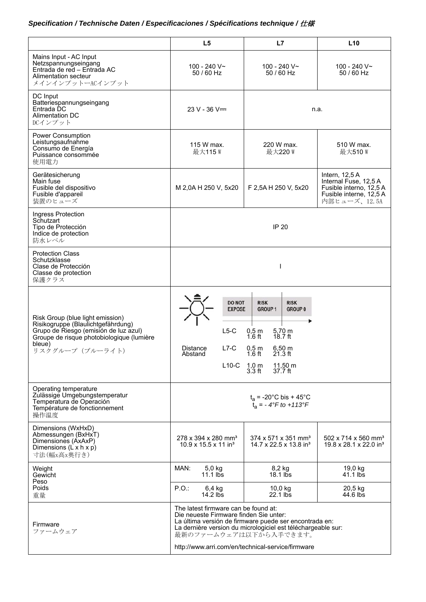# *Specification / Technische Daten / Especificaciones / Spécifications technique /* 仕様

|                                                                                                                                                                                            | L5                                                                                                                                                 | L7                                                                                                                                                                                              | L10                                                                                                            |
|--------------------------------------------------------------------------------------------------------------------------------------------------------------------------------------------|----------------------------------------------------------------------------------------------------------------------------------------------------|-------------------------------------------------------------------------------------------------------------------------------------------------------------------------------------------------|----------------------------------------------------------------------------------------------------------------|
| Mains Input - AC Input<br>Netzspannungseingang<br>Entrada de red - Entrada AC<br>Alimentation secteur<br>メインインプットーACインプット                                                                  | 100 - 240 V~<br>50 / 60 Hz                                                                                                                         | 100 - 240 V~<br>50 / 60 Hz                                                                                                                                                                      | 100 - 240 V~<br>50 / 60 Hz                                                                                     |
| DC Input<br>Batteriespannungseingang<br>Entrada DC<br>Alimentation DC<br>DCインプット                                                                                                           | $23 V - 36 V =$                                                                                                                                    |                                                                                                                                                                                                 | n.a.                                                                                                           |
| <b>Power Consumption</b><br>Leistungsaufnahme<br>Consumo de Energía<br>Puissance consommée<br>使用電力                                                                                         | 115 W max.<br>最大115W                                                                                                                               | 220 W max.<br>最大220W                                                                                                                                                                            | 510 W max.<br>最大510W                                                                                           |
| Gerätesicherung<br>Main fuse<br>Fusible del dispositivo<br>Fusible d'appareil<br>装置のヒューズ                                                                                                   | M 2,0A H 250 V, 5x20                                                                                                                               | F 2,5A H 250 V, 5x20                                                                                                                                                                            | Intern, $12,5A$<br>Internal Fuse, 12,5 A<br>Fusible interno, 12,5 A<br>Fusible interne, 12,5 A<br>内部ヒューズ、12.5A |
| Ingress Protection<br>Schutzart<br>Tipo de Protección<br>Indice de protection<br>防水レベル                                                                                                     |                                                                                                                                                    | <b>IP 20</b>                                                                                                                                                                                    |                                                                                                                |
| <b>Protection Class</b><br>Schutzklasse<br>Clase de Protección<br>Classe de protection<br>保護クラス                                                                                            |                                                                                                                                                    | I                                                                                                                                                                                               |                                                                                                                |
| Risk Group (blue light emission)<br>Risikogruppe (Blaulichtgefährdung)<br>Grupo de Riesgo (emisión de luz azul)<br>Groupe de risque photobiologique (lumière<br>bleue)<br>リスクグループ (ブルーライト) | <b>DO NOT</b><br><b>EXPOSE</b><br>$L5-C$<br>$L7-C$<br>Distance<br>Abstand<br>L10-C $\begin{array}{cc} 1,0 \text{ m} \\ 3.3 \text{ ft} \end{array}$ | <b>RISK</b><br><b>RISK</b><br><b>GROUP 1</b><br><b>GROUP 0</b><br>$0,5$ m<br>5,70 m<br>18.7 ft<br>$1.6$ ft<br>$6,50 \; m$<br>$0,5$ m<br>$1.6$ ft<br>$21.3$ ft<br>$11,50 \text{ m}$<br>$37.7$ ft |                                                                                                                |
| Operating temperature<br>Zulässige Umgebungstemperatur<br>Temperatura de Operación<br>Température de fonctionnement<br>操作温度                                                                |                                                                                                                                                    | $t_a = -20$ °C bis + 45°C<br>$t_a = -4^\circ F$ to $+113^\circ F$                                                                                                                               |                                                                                                                |
| Dimensions (WxHxD)<br>Abmessungen (BxHxT)<br>Dimensiones (AxAxP)<br>Dimensions ( $\angle x$ h $x$ p)<br>寸法(幅x高x奥行き)                                                                        | 278 x 394 x 280 mm <sup>3</sup><br>$10.9 \times 15.5 \times 11$ in <sup>3</sup>                                                                    | 374 x 571 x 351 mm <sup>3</sup><br>14.7 x 22.5 x 13.8 in <sup>3</sup>                                                                                                                           | 502 x 714 x 560 mm <sup>3</sup><br>19.8 x 28.1 x 22.0 in <sup>3</sup>                                          |
| Weight<br>Gewicht                                                                                                                                                                          | MAN:<br>$5,0$ kg<br>$11.1$ lbs                                                                                                                     | 8,2 kg<br>$18.1$ lbs                                                                                                                                                                            | 19,0 kg<br>41.1 lbs                                                                                            |
| Peso<br>Poids<br>重量                                                                                                                                                                        | P.O.<br>6,4 kg<br>$14.2$ lbs                                                                                                                       | 10,0 kg<br>$22.1$ lbs                                                                                                                                                                           | 20,5 kg<br>44.6 lbs                                                                                            |
| Firmware<br>ファームウェア                                                                                                                                                                        | The latest firmware can be found at:<br>Die neueste Firmware finden Sie unter:<br>最新のファームウェアは以下から入手できます。                                           | La última versión de firmware puede ser encontrada en:<br>La dernière version du micrologiciel est téléchargeable sur:<br>http://www.arri.com/en/technical-service/firmware                     |                                                                                                                |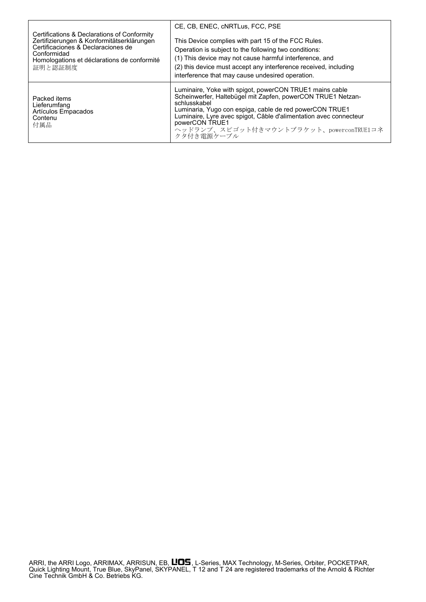| Certifications & Declarations of Conformity                           | CE. CB. ENEC. cNRTLus. FCC. PSE                                                                                                                                                                                                                                                                                                                   |
|-----------------------------------------------------------------------|---------------------------------------------------------------------------------------------------------------------------------------------------------------------------------------------------------------------------------------------------------------------------------------------------------------------------------------------------|
| Zertifizierungen & Konformitätserklärungen                            | This Device complies with part 15 of the FCC Rules.                                                                                                                                                                                                                                                                                               |
| Certificaciones & Declaraciones de                                    | Operation is subject to the following two conditions:                                                                                                                                                                                                                                                                                             |
| Conformidad                                                           | (1) This device may not cause harmful interference, and                                                                                                                                                                                                                                                                                           |
| Homologations et déclarations de conformité                           | (2) this device must accept any interference received, including                                                                                                                                                                                                                                                                                  |
| 証明と認証制度                                                               | interference that may cause undesired operation.                                                                                                                                                                                                                                                                                                  |
| Packed items<br>Lieferumfang<br>Artículos Empacados<br>Contenu<br>付属品 | Luminaire, Yoke with spigot, powerCON TRUE1 mains cable<br>Scheinwerfer, Haltebügel mit Zapfen, powerCON TRUE1 Netzan-<br>schlusskabel<br>Luminaria, Yugo con espiga, cable de red powerCON TRUE1<br>Luminaire, Lyre avec spigot, Câble d'alimentation avec connecteur<br>powerCON TRUE1<br>ヘッドランプ、スピゴット付きマウントブラケット、powerconTRUE1コネ<br>クタ付き雷源ケーブル |